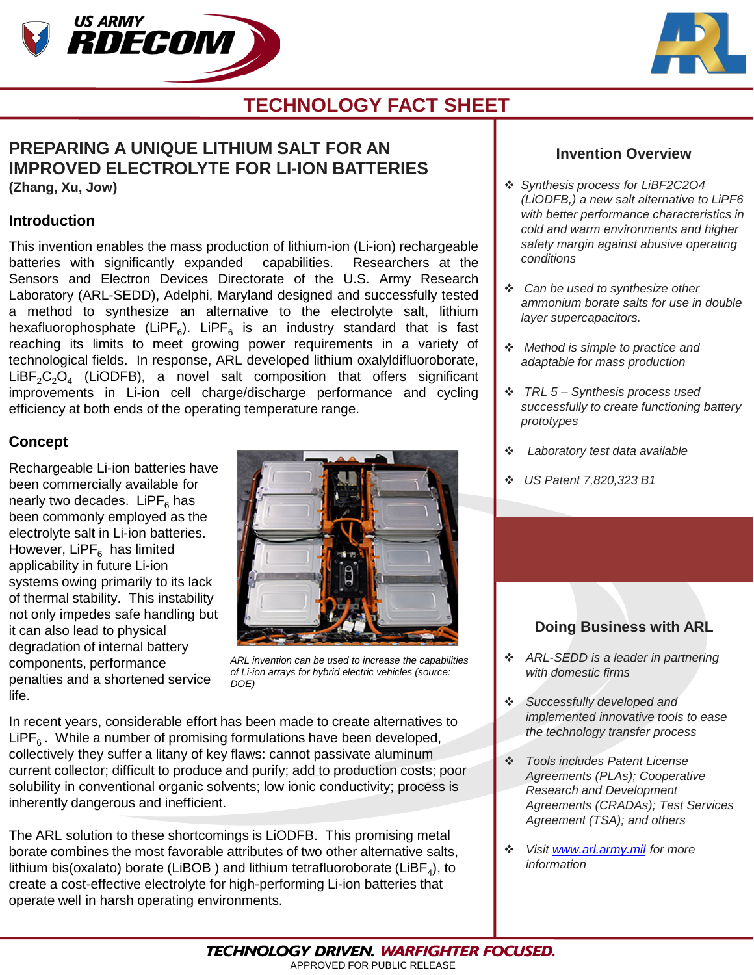



# **TECHNOLOGY FACT SHEET**

### **PREPARING A UNIQUE LITHIUM SALT FOR AN IMPROVED ELECTROLYTE FOR LI-ION BATTERIES (Zhang, Xu, Jow)**

#### **Introduction**

This invention enables the mass production of lithium-ion (Li-ion) rechargeable batteries with significantly expanded capabilities. Researchers at the Sensors and Electron Devices Directorate of the U.S. Army Research Laboratory (ARL-SEDD), Adelphi, Maryland designed and successfully tested a method to synthesize an alternative to the electrolyte salt, lithium hexafluorophosphate (LiPF<sub>6</sub>). LiPF<sub>6</sub> is an industry standard that is fast reaching its limits to meet growing power requirements in a variety of technological fields. In response, ARL developed lithium oxalyldifluoroborate,  $LiBF<sub>2</sub>C<sub>2</sub>O<sub>4</sub>$  (LiODFB), a novel salt composition that offers significant improvements in Li-ion cell charge/discharge performance and cycling efficiency at both ends of the operating temperature range.

### **Concept**

Rechargeable Li-ion batteries have been commercially available for nearly two decades. LiPF $<sub>6</sub>$  has</sub> been commonly employed as the electrolyte salt in Li-ion batteries. However, LiPF $_6$  has limited applicability in future Li-ion systems owing primarily to its lack of thermal stability. This instability not only impedes safe handling but it can also lead to physical degradation of internal battery components, performance penalties and a shortened service life.



*ARL invention can be used to increase the capabilities of Li-ion arrays for hybrid electric vehicles (source: DOE)*

In recent years, considerable effort has been made to create alternatives to LiPF<sub>6</sub>. While a number of promising formulations have been developed, collectively they suffer a litany of key flaws: cannot passivate aluminum current collector; difficult to produce and purify; add to production costs; poor solubility in conventional organic solvents; low ionic conductivity; process is inherently dangerous and inefficient.

The ARL solution to these shortcomings is LiODFB. This promising metal borate combines the most favorable attributes of two other alternative salts, lithium bis(oxalato) borate (LiBOB) and lithium tetrafluoroborate (LiBF<sub>4</sub>), to create a cost-effective electrolyte for high-performing Li-ion batteries that operate well in harsh operating environments.

#### **Invention Overview**

- *Synthesis process for LiBF2C2O4 (LiODFB,) a new salt alternative to LiPF6 with better performance characteristics in cold and warm environments and higher safety margin against abusive operating conditions*
- *Can be used to synthesize other ammonium borate salts for use in double layer supercapacitors.*
- *Method is simple to practice and adaptable for mass production*
- *TRL 5 – Synthesis process used successfully to create functioning battery prototypes*
- *Laboratory test data available*
- *US Patent 7,820,323 B1*

## **Doing Business with ARL**

- *ARL-SEDD is a leader in partnering with domestic firms*
- *Successfully developed and implemented innovative tools to ease the technology transfer process*
- *Tools includes Patent License Agreements (PLAs); Cooperative Research and Development Agreements (CRADAs); Test Services Agreement (TSA); and others*
- *Visit [www.arl.army.mil](http://www.arl.army.mil/) for more information*